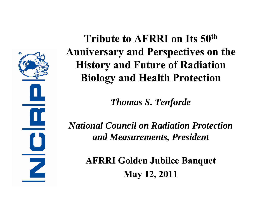$\circledR$ Z

**Tribute to AFRRI on Its 50th Anniversary and Perspectives on the History and Future of Radiation Biology and Health Protection**

*Thomas S. Tenforde*

*National Council on Radiation Protection and Measurements, President*

> **AFRRI Golden Jubilee Banquet May 12, 2011**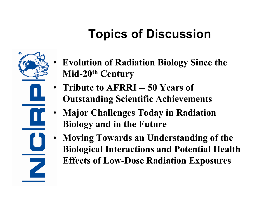# **Topics of Discussion**



- **Evolution of Radiation Biology Since the Mid-20th Century**
- **Tribute to AFRRI -- 50 Years of Outstanding Scientific Achievements**
- **Major Challenges Today in Radiation Biology and in the Future**
- **Moving Towards an Understanding of the Biological Interactions and Potential Health Effects of Low-Dose Radiation Exposures**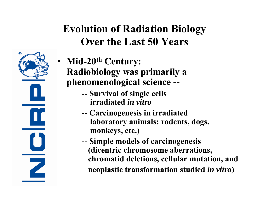### **Evolution of Radiation Biology Over the Last 50 Years**



- **Mid-20th Century: Radiobiology was primarily a phenomenological science --**
	- **-- Survival of single cells irradiated** *in vitro*
	- **-- Carcinogenesis in irradiated laboratory animals: rodents, dogs, monkeys, etc.)**
	- **-- Simple models of carcinogenesis (dicentric chromosome aberrations, chromatid deletions, cellular mutation, and neoplastic transformation studied** *in vitro* **)**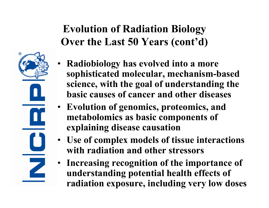## **Evolution of Radiation Biology Over the Last 50 Years (cont'd)**

- **Radiobiology has evolved into a more sophisticated molecular, mechanism-based science, with the goal of understanding the basic causes of cancer and other diseases**
- **Evolution of genomics, proteomics, and metabolomics as basic components of explaining disease causation**
- **Use of complex models of tissue interactions with radiation and other stressors**
- **Increasing recognition of the importance of understanding potential health effects of radiation exposure, including very low doses**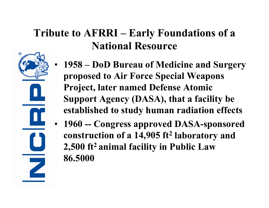### **Tribute to AFRRI – Early Foundations of a National Resource**

@

- **1958 – DoD Bureau of Medicine and Surgery proposed to Air Force Special Weapons Project, later named Defense Atomic Support Agency (DASA), that a facility be established to study human radiation effects**
- **1960 -- Congress approved DASA-sponsored construction of a 14,905 ft 2 laboratory and 2,500 ft2 animal facility in Public Law 86.5000**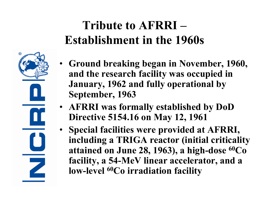# **Tribute to AFRRI –Establishment in the 1960s**

- **Ground breaking began in November, 1960, and the research facility was occupied in January, 1962 and fully operational by September, 1963**
- **AFRRI was formally established by DoD Directive 5154.16 on May 12, 1961**

 $\Box$ 

Z

• **Special facilities were provided at AFRRI, including a TRIGA reactor (initial criticality attained on June 28, 1963), a high-dose 60Co facility, a 54-MeV linear accelerator, and a low-level 60Co irradiation facility**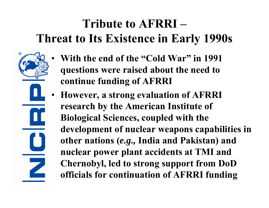# **Tribute to AFRRI –Threat to Its Existence in Early 1990s**

• **With the end of the "Cold War" in 1991 questions were raised about the need to continue funding of AFRRI**

ര

Z

• **However, a strong evaluation of AFRRI research by the American Institute of Biological Sciences, coupled with the development of nuclear weapons capabilities in other nations (***e.g.,* **India and Pakistan) and nuclear power plant accidents at TMI and Chernobyl, led to strong support from DoD officials for continuation of AFRRI funding**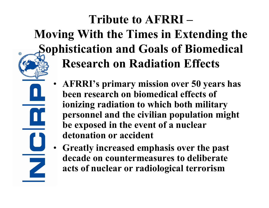# **Tribute to AFRRI –Moving With the Times in Extending the Sophistication and Goals of Biomedical Research on Radiation Effects**

- **AFRRI's primary mission over 50 years has been research on biomedical effects of ionizing radiation to which both military personnel and the civilian population might be exposed in the event of a nuclear detonation or accident**
- **Greatly increased emphasis over the past decade on countermeasures to deliberate acts of nuclear or radiological terrorism**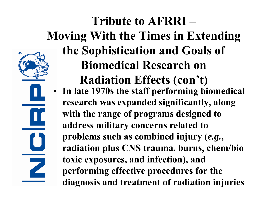

### **Tribute to AFRRI –Moving With the Times in Extending the Sophistication and Goals of Biomedical Research on Radiation Effects (con't)** • **In late 1970s the staff performing biomedical research was expanded significantly, along with the range of programs designed to address military concerns related to problems such as combined injury (***e.g.***, radiation plus CNS trauma, burns, chem/bio toxic exposures, and infection), and performing effective procedures for the diagnosis and treatment of radiation injuries**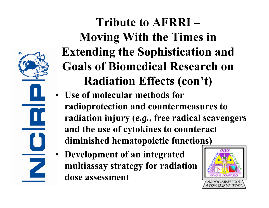

# **Tribute to AFRRI –Moving With the Times in Extending the Sophistication and Goals of Biomedical Research on Radiation Effects (con't)**

- **Use of molecular methods for radioprotection and countermeasures to radiation injury (***e.g.***, free radical scavengers and the use of cytokines to counteract diminished hematopoietic functions)**
- **Development of an integrated multiassay strategy for radiation dose assessment**

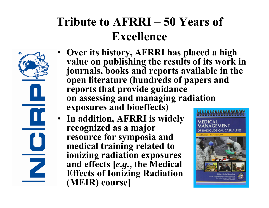# **Tribute to AFRRI – 50 Years of Excellence**



- **Over its history, AFRRI has placed a high value on publishing the results of its work in journals, books and reports available in the open literature (hundreds of papers and reports that provide guidance on assessing and managing radiation exposures and bioeffects)**
- **In addition, AFRRI is widely recognized as a major resource for symposia and medical training related to ionizing radiation exposures and effects [***e.g.***, the Medical Effects of Ionizing Radiation (MEIR) course]**

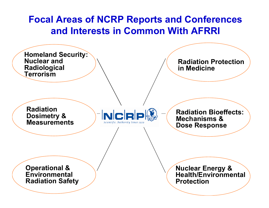#### **Focal Areas of NCRP Reports and Conferences and Interests in Common With AFRRI**

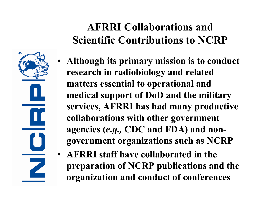

### **AFRRI Collaborations and Scientific Contributions to NCRP**

- **Although its primary mission is to conduct research in radiobiology and related matters essential to operational and medical support of DoD and the military services, AFRRI has had many productive collaborations with other government agencies (***e.g.,* **CDC and FDA) and nongovernment organizations such as NCRP**
- **AFRRI staff have collaborated in the preparation of NCRP publications and the organization and conduct of conferences**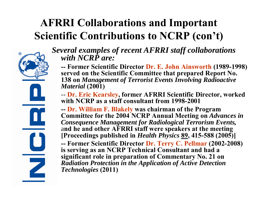### **AFRRI Collaborations and Important Scientific Contributions to NCRP (con't)**



*Several examples of recent AFRRI staff collaborations with NCRP are:*

**-- Former Scientific Director Dr. E. John Ainsworth (1989-1998) served on the Scientific Committee that prepared Report No. 138 on** *Management of Terrorist Events Involving Radioactive Material* **(2001)**

-- **Dr. Eric Kearsley, former AFRRI Scientific Director, worked with NCRP as a staff consultant from 1998-2001**

**-- Dr. William F. Blakely was chairman of the Program Committee for the 2004 NCRP Annual Meeting on** *Advances in Consequence Management for Radiological Terrorism Events,*  <sup>a</sup>**nd he and other AFRRI staff were speakers at the meeting [Proceedings published in** *Health Physics* **89, 415-588 (2005)]**

**-- Former Scientific Director Dr. Terry C. Pellmar (2002-2008) is serving as an NCRP Technical Consultant and had a significant role in preparation of Commentary No. 21 on**  *Radiation Protection in the Application of Active Detection Technologies* **(2011)**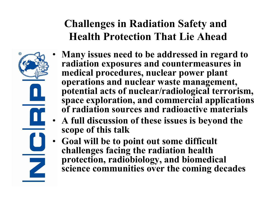## **Challenges in Radiation Safety and Health Protection That Lie Ahead**

- 
- **Many issues need to be addressed in regard to radiation exposures and countermeasures in medical procedures, nuclear power plant operations and nuclear waste management, potential acts of nuclear/radiological terrorism, space exploration, and commercial applications of radiation sources and radioactive materials**
- **A full discussion of these issues is beyond the scope of this talk**
- **Goal will be to point out some difficult challenges facing the radiation health protection, radiobiology, and biomedical science communities over the coming decades**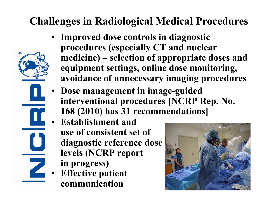### **Challenges in Radiological Medical Procedures**

- **Improved dose controls in diagnostic procedures (especially CT and nuclear medicine) – selection of appropriate doses and equipment settings, online dose monitoring, avoidance of unnecessary imaging procedures**
- **Dose management in image-guided interventional procedures [NCRP Rep. No. 168 (2010) has 31 recommendations]**
- **Establishment and use of consistent set of diagnostic reference dose levels (NCRP report in progress)**
- **Effective patient communication**

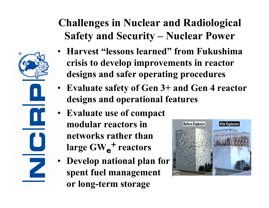### **Challenges in Nuclear and Radiological Safety and Security – Nuclear Power**

- **Harvest "lessons learned" from Fukushima crisis to develop improvements in reactor designs and safer operating procedures**
	- **Evaluate safety of Gen 3+ and Gen 4 reactor designs and operational features**
	- **Evaluate use of compact modular reactors in networks rather than large GW e+ reactors**
	- **Develop national plan for spent fuel management or long-term storage**

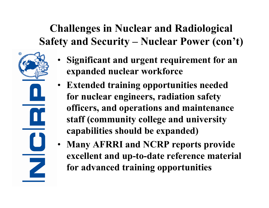## **Challenges in Nuclear and Radiological Safety and Security – Nuclear Power (con't)**

ଢ

- **Significant and urgent requirement for an expanded nuclear workforce**
- **Extended training opportunities needed for nuclear engineers, radiation safety officers, and operations and maintenance staff (community college and university capabilities should be expanded)**
- **Many AFRRI and NCRP reports provide excellent and up-to-date reference material for advanced training opportunities**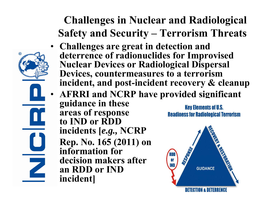**Challenges in Nuclear and Radiological Safety and Security – Terrorism Threats**

- **Challenges are great in detection and deterrence of radionuclides for Improvised Nuclear Devices or Radiological Dispersal Devices, countermeasures to a terrorism incident, and post-incident recovery & cleanup**
- **AFRRI and NCRP have provided significant guidance in these Key Elements of U.S. areas of response Readiness for Radiological Terrorism to IND or RDD incidents [***e.g.,* **NCRP Rep. No. 165 (2011) on information for decision makers after OF an RDD or INDGUIDANCE incident]**

Z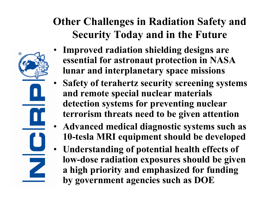### **Other Challenges in Radiation Safety and Security Today and in the Future**

- **Improved radiation shielding designs are essential for astronaut protection in NASA lunar and interplanetary space missions**
- **Safety of terahertz security screening systems and remote special nuclear materials detection systems for preventing nuclear terrorism threats need to be given attention**
- **Advanced medical diagnostic systems such as 10-tesla MRI equipment should be developed**
- **Understanding of potential health effects of low-dose radiation exposures should be given a high priority and emphasized for funding by government agencies such as DOE**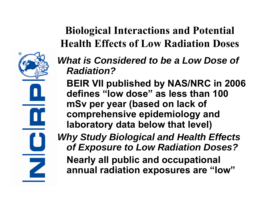

## **Biological Interactions and Potential Health Effects of Low Radiation Doses**

- *What is Considered to be a Low Dose of Radiation?*
	- **BEIR VII published by NAS/NRC in 2006 defines "low dose" as less than 100 mSv per year (based on lack of comprehensive epidemiology and laboratory data below that level)**

*Why Study Biological and Health Effects of Exposure to Low Radiation Doses?* **Nearly all public and occupational annual radiation exposures are "low"**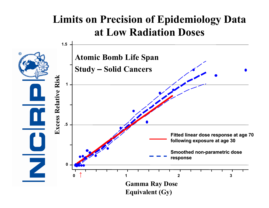### **Limits on Precision of Epidemiology Data at Low Radiation Doses**

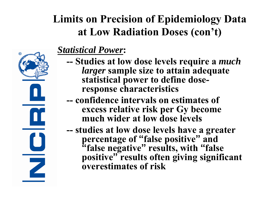## **Limits on Precision of Epidemiology Data at Low Radiation Doses (con't)**



#### *Statistical Power***:**

- **-- Studies at low dose levels require a** *much larger* **sample size to attain adequate statistical power to define doseresponse characteristics**
- **-- confidence intervals on estimates of excess relative risk per Gy become much wider at low dose levels**
- **- studies at low dose levels have a greater percentage of "false positive " and "false negative " results, with "false positive " results often giving significant overestimates of risk**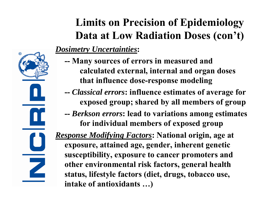

# **Limits on Precision of Epidemiology Data at Low Radiation Doses (con't)**

#### *Dosimetry Uncertainties***:**

- **-- Many sources of errors in measured and calculated external, internal and organ doses that influence dose-response modeling**
- **--** *Classical errors***: influence estimates of average for exposed group; shared by all members of group**
- **--** *Berkson errors***: lead to variations among estimates for individual members of exposed group**

*Response Modifying Factors***: National origin, age at exposure, attained age, gender, inherent genetic susceptibility, exposure to cancer promoters and other environmental risk factors, general health status, lifestyle factors (diet, drugs, tobacco use, intake of antioxidants … )**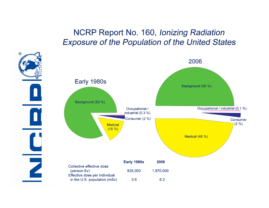#### NCRP Report No. 160, Ionizing Radiation **Exposure of the Population of the United States**

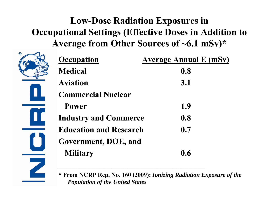### **Low-Dose Radiation Exposures in Occupational Settings (Effective Doses in Addition to Average from Other Sources of ~6.1 mSv)\***

ଢ

 $\mathbf{\Omega}$ 

 $\mathbf 0$ 

Z

| <b>Occupation</b>             | <b>Average Annual E (mSv)</b> |
|-------------------------------|-------------------------------|
| <b>Medical</b>                | 0.8                           |
| <b>Aviation</b>               | <b>3.1</b>                    |
| <b>Commercial Nuclear</b>     |                               |
| <b>Power</b>                  | 1.9                           |
| <b>Industry and Commerce</b>  | 0.8                           |
| <b>Education and Research</b> | 0.7                           |
| Government, DOE, and          |                               |
| <b>Military</b>               | 0.6                           |
|                               |                               |

**\_\_\_\_\_\_\_\_\_\_\_\_\_\_\_\_\_\_\_\_\_\_\_\_\_\_\_\_\_\_\_\_\_\_\_\_**

**\* From NCRP Rep. No. 160 (2009):** *Ionizing Radiation Exposure of the Population of the United States*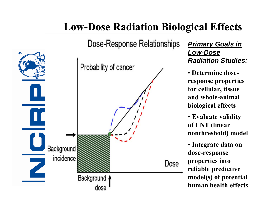# Dose-Response Relationships ര Probability of cancer Background incidence Dose Background 4 dose

#### *Primary Goals in Low-Dose Radiation Studies :*

• **Determine doseresponse properties for cellular, tissue and whole-animal biological effects**

• **Evaluate validity of LNT (linear nonthreshold) model**

• **Integrate data on dose-response properties into reliable predictive model(s) of potential human health effects**

### **Low-Dose Radiation Biological Effects**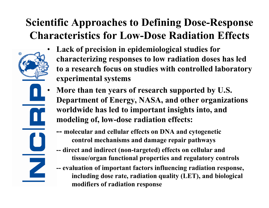### **Scientific Approaches to Defining Dose-Response Characteristics for Low-Dose Radiation Effects**



- **Lack of precision in epidemiological studies for characterizing responses to low radiation doses has led to a research focus on studies with controlled laboratory experimental systems**
- **More than ten years of research supported by U.S. Department of Energy, NASA, and other organizations worldwide has led to important insights into, and modeling of, low-dose radiation effects:**
	- **-- molecular and cellular effects on DNA and cytogenetic control mechanisms and damage repair pathways**
	- **-- direct and indirect (non-targeted) effects on cellular and tissue/organ functional properties and regulatory controls**
	- **-- evaluation of important factors influencing radiation response, including dose rate, radiation quality (LET), and biological modifiers of radiation response**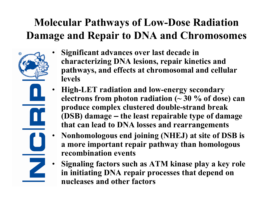### **Molecular Pathways of Low-Dose Radiation Damage and Repair to DNA and Chromosomes**

- 
- **Significant advances over last decade in characterizing DNA lesions, repair kinetics and pathways, and effects at chromosomal and cellular levels**
- **High-LET radiation and low-energy secondary electrons from photon radiation (~ 30 % of dose) can produce complex clustered double-strand break (DSB) damage – the least repairable type of damage that can lead to DNA losses and rearrangements**
- **Nonhomologous end joining (NHEJ) at site of DSB is a more important repair pathway than homologous recombination events**
- **Signaling factors such as ATM kinase play a key role in initiating DNA repair processes that depend on nucleases and other factors**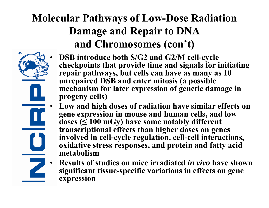### **Molecular Pathwa ys of Low-Dose Radiation Damage and Repair to DNA and Chromosomes (con't)**



- **DSB introduce both S/G2 and G2/M cell-cycle checkpoints that provide time and signals for initiating repair pathways, but cells can have as many as 10 unrepaired DSB and enter mitosis (a possible mechanism for later expression of genetic damage in progeny cells)**
- **Low and high doses of radiation have similar effects on gene expression in mouse and human cells, and low doses ( ≤ 100 mGy) have some notably different transcriptional effects than higher doses on genes involved in cell-cycle regulation, cell-cell interactions, oxidative stress responses, and protein and fatty acid metabolism**
- **Results of studies on mice irradiated** *in vivo* **have shown significant tissue-specific variations in effects on gene expression**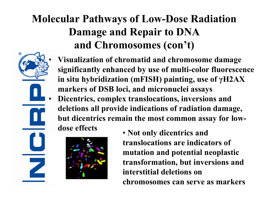### **Molecular Pathways of Low-Dose Radiation Damage and Repair to DNA and Chromosomes (con't)**



- **Visualization of chromatid and chromosome damage significantly enhanced by use of multi-color fluorescence in situ hybridization (mFISH) painting, use of γH2AX markers of DSB loci, and micronuclei assays**
- **Dicentrics, complex translocations, inversions and deletions all provide indications of radiation damage, but dicentrics remain the most common assay for lowdose effects**



• **Not only dicentrics and translocations are indicators of mutation and potential neoplastic transformation, but inversions and interstitial deletions on chromosomes can serve as markers**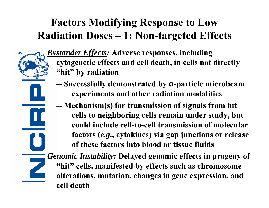### **Factors Modifying Response to Low Radiation Doses – 1: Non-targeted Effects**

ര



- **-- Successfully demonstrated by <sup>α</sup>-particle microbeam experiments and other radiation modalities**
- **-- Mechanism(s) for transmission of signals from hit cells to neighboring cells remain under study, but could include cell-to-cell transmission of molecular factors (***e.g.,* **cytokines) via gap junctions or release of these factors into blood or tissue fluids**

*Genomic Instability:* **Delayed genomic effects in progeny of "hit" cells, manifested by effects such as chromosome alterations, mutation, changes in gene expression, and cell death**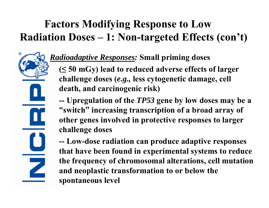### **Factors Modifying Response to Low Radiation Doses – 1: Non-targeted Effects (con't)**

Z

#### *Radioadaptive Responses:* **Small priming doses**

**( ≤ 50 mGy) lead to reduced adverse effects of larger challenge doses (***e.g.,* **less cytogenetic damage, cell death, and carcinogenic risk)**

**-- Upregulation of the** *TP53* **gene by low doses may be a "switch " increasing transcription of a broad array of other genes involved in protective responses to larger challenge doses**

**-- Low-dose radiation can produce adaptive responses that have been found in experimental systems to reduce the frequency of chromosomal alterations, cell mutation and neoplastic transformation to or below the spontaneous level**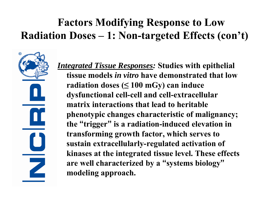### **Factors Modifying Response to Low Radiation Doses – 1: Non-targeted Effects (con't)**

@ 

*Integrated Tissue Responses:* **Studies with epithelial tissue models** *in vitro* **have demonstrated that low radiation doses (≤ 100 mGy) can induce dysfunctional cell-cell and cell-extracellular matrix interactions that lead to heritable phenotypic changes characteristic of malignancy; the "trigger" is a radiation-induced elevation in transforming growth factor, which serves to sustain extracellularly-regulated activation of kinases at the integrated tissue level. These effects are well characterized by a "systems biology" modeling approach.**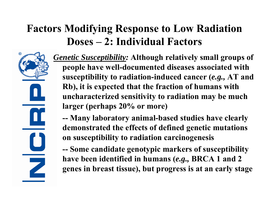### **Factors Modifying Response to Low Radiation Doses – 2: Individual Factors**



*Genetic Susceptibility:* **Although relatively small groups of people have well-documented diseases associated with susceptibility to radiation-induced cancer (***e.g.,* **AT and Rb), it is expected that the fraction of humans with uncharacterized sensitivity to radiation may be much larger (perhaps 20% or more)**

**-- Many laboratory animal-based studies have clearly demonstrated the effects of defined genetic mutations on susceptibility to radiation carcinogenesis**

**-- Some candidate genotypic markers of susceptibility have been identified in humans (***e.g.,* **BRCA 1 and 2 genes in breast tissue), but progress is at an early stage**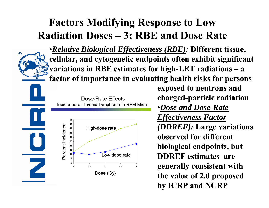### **Factors Modifying Response to Low Radiation Doses – 3: RBE and Dose Rate**



•*Relative Biological Effectiveness (RBE):* **Different tissue, cellular, and cytogenetic endpoints often exhibit significant variations in RBE estimates for high-LET radiations – <sup>a</sup> factor of importance in evaluating health risks for persons**

Dose-Rate Effects Incidence of Thymic Lymphoma in RFM Mice



**exposed to neutrons and charged-particle radiation** •*Dose and Dose-Rate Effectiveness Factor (DDREF):* **Large variations observed for different biological endpoints, but DDREF estimates are generally consistent with the value of 2.0 proposed by ICRP and NCRP**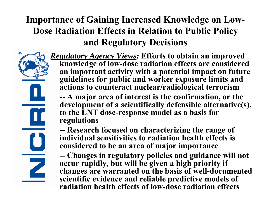### **Importance of Gaining Increased Knowledge on Low-Dose Radiation Effects in Relation to Public Policy and Regulatory Decisions**



*Regulatory Agency Views:* **Efforts to obtain an improved knowledge of low-dose radiation effects are considered an important activity with a potential impact on future guidelines for public and worker exposure limits and actions to counteract nuclear/radiological terrorism**

**-- A major area of interest is the confirmation, or the development of a scientifically defensible alternative(s), to the LNT dose-response model as a basis for regulations**

**-- Research focused on characterizing the range of individual sensitivities to radiation health effects is considered to be an area of major importance**

**-- Changes in regulatory policies and guidance will not occur rapidly, but will be given a high priority if changes are warranted on the basis of well-documented scientific evidence and reliable predictive models of radiation health effects of low-dose radiation effects**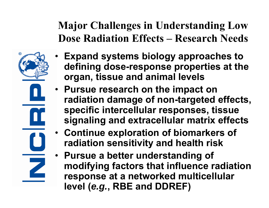**Major Challenges in Understanding Low Dose Radiation Effects – Research Needs**



- **Expand systems biology approaches to defining dose-response properties at the organ, tissue and animal levels**
- **Pursue research on the impact on radiation damage of non-targeted effects, specific intercellular responses, tissue signaling and extracellular matrix effects**
- **Continue exploration of biomarkers of radiation sensitivity and health risk**
- **Pursue a better understanding of modifying factors that influence radiation response at a networked multicellular level (***e.g.***, RBE and DDREF)**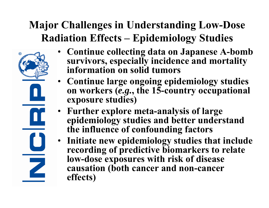### **Major Challenges in Understanding Low-Dose Radiation Effects – Epidemiology Studies**



- **Continue collecting data on Japanese A-bomb survivors, especially incidence and mortality information on solid tumors**
- **Continue large ongoing epidemiology studies on workers (***e.g.***, the 15-country occupational exposure studies)**
- **Further explore meta-analysis of large epidemiology studies and better understand the influence of confounding factors**
- **Initiate new epidemiology studies that include recording of predictive biomarkers to relate low-dose exposures with risk of disease causation (both cancer and non-cancer effects)**